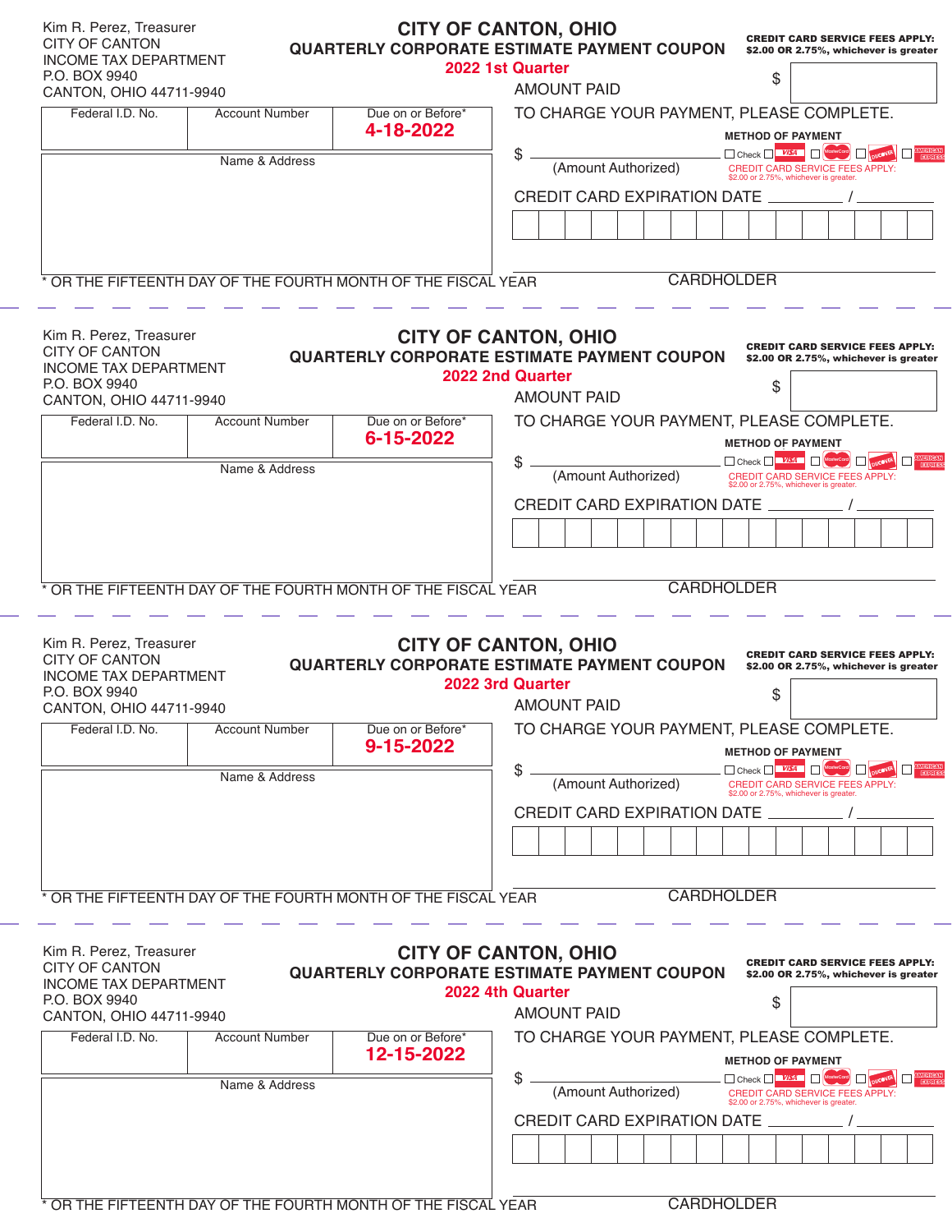| Kim R. Perez, Treasurer<br><b>CITY OF CANTON</b><br><b>INCOME TAX DEPARTMENT</b><br>P.O. BOX 9940<br>CANTON, OHIO 44711-9940 |                       |                                                               | <b>CITY OF CANTON, OHIO</b><br><b>CREDIT CARD SERVICE FEES APPLY:</b><br><b>QUARTERLY CORPORATE ESTIMATE PAYMENT COUPON</b><br>\$2.00 OR 2.75%, whichever is greater<br>2022 1st Quarter<br>\$<br><b>AMOUNT PAID</b> |  |  |  |
|------------------------------------------------------------------------------------------------------------------------------|-----------------------|---------------------------------------------------------------|----------------------------------------------------------------------------------------------------------------------------------------------------------------------------------------------------------------------|--|--|--|
| Federal I.D. No.                                                                                                             | <b>Account Number</b> | Due on or Before*<br>4-18-2022                                | TO CHARGE YOUR PAYMENT, PLEASE COMPLETE.                                                                                                                                                                             |  |  |  |
|                                                                                                                              |                       |                                                               | <b>METHOD OF PAYMENT</b>                                                                                                                                                                                             |  |  |  |
|                                                                                                                              | Name & Address        |                                                               | \$<br>Check VISA H<br><b>DICOVER EXPERIENCE</b>                                                                                                                                                                      |  |  |  |
|                                                                                                                              |                       |                                                               | (Amount Authorized)<br>CREDIT CARD SERVICE FEES APPLY:<br>\$2.00 or 2.75%, whichever is greater                                                                                                                      |  |  |  |
|                                                                                                                              |                       |                                                               | <b>CREDIT CARD EXPIRATION DATE</b>                                                                                                                                                                                   |  |  |  |
|                                                                                                                              |                       |                                                               |                                                                                                                                                                                                                      |  |  |  |
|                                                                                                                              |                       |                                                               |                                                                                                                                                                                                                      |  |  |  |
|                                                                                                                              |                       | * OR THE FIFTEENTH DAY OF THE FOURTH MONTH OF THE FISCAL YEAR | <b>CARDHOLDER</b>                                                                                                                                                                                                    |  |  |  |
| Kim R. Perez, Treasurer<br><b>CITY OF CANTON</b><br><b>INCOME TAX DEPARTMENT</b><br>P.O. BOX 9940<br>CANTON, OHIO 44711-9940 |                       |                                                               | <b>CITY OF CANTON, OHIO</b><br><b>CREDIT CARD SERVICE FEES APPLY:</b><br><b>QUARTERLY CORPORATE ESTIMATE PAYMENT COUPON</b><br>\$2.00 OR 2.75%, whichever is greater<br>2022 2nd Quarter<br>\$<br><b>AMOUNT PAID</b> |  |  |  |
| Federal I.D. No.                                                                                                             | <b>Account Number</b> | Due on or Before*                                             | TO CHARGE YOUR PAYMENT, PLEASE COMPLETE.                                                                                                                                                                             |  |  |  |
|                                                                                                                              |                       | 6-15-2022                                                     | <b>METHOD OF PAYMENT</b>                                                                                                                                                                                             |  |  |  |
|                                                                                                                              | Name & Address        |                                                               | \$<br>Check VISA Mosterco<br><b>EXPERIENCE</b><br>(Amount Authorized)                                                                                                                                                |  |  |  |
|                                                                                                                              |                       |                                                               | CREDIT CARD SERVICE FEES APPLY:<br>\$2.00 or 2.75%, whichever is greater.                                                                                                                                            |  |  |  |
|                                                                                                                              |                       |                                                               | <b>CREDIT CARD EXPIRATION DATE</b>                                                                                                                                                                                   |  |  |  |
|                                                                                                                              |                       |                                                               |                                                                                                                                                                                                                      |  |  |  |
|                                                                                                                              |                       |                                                               |                                                                                                                                                                                                                      |  |  |  |
|                                                                                                                              |                       | * OR THE FIFTEENTH DAY OF THE FOURTH MONTH OF THE FISCAL YEAR | <b>CARDHOLDER</b>                                                                                                                                                                                                    |  |  |  |
| Kim R. Perez, Treasurer<br><b>CITY OF CANTON</b><br><b>INCOME TAX DEPARTMENT</b><br>P.O. BOX 9940<br>CANTON, OHIO 44711-9940 |                       |                                                               | <b>CITY OF CANTON, OHIO</b><br><b>CREDIT CARD SERVICE FEES APPLY:</b><br><b>QUARTERLY CORPORATE ESTIMATE PAYMENT COUPON</b><br>\$2.00 OR 2.75%, whichever is greater<br>2022 3rd Quarter<br>\$<br><b>AMOUNT PAID</b> |  |  |  |
| Federal I.D. No.                                                                                                             | <b>Account Number</b> | Due on or Before*<br>9-15-2022                                | TO CHARGE YOUR PAYMENT, PLEASE COMPLETE.                                                                                                                                                                             |  |  |  |
|                                                                                                                              |                       |                                                               | <b>METHOD OF PAYMENT</b><br>\$<br><b>DISCOVER EXPERIENCE</b><br>Check WA NesterCom                                                                                                                                   |  |  |  |
|                                                                                                                              | Name & Address        |                                                               | (Amount Authorized)<br>CREDIT CARD SERVICE FEES APPLY:<br>\$2.00 or 2.75%, whichever is greater                                                                                                                      |  |  |  |
|                                                                                                                              |                       |                                                               | CREDIT CARD EXPIRATION DATE                                                                                                                                                                                          |  |  |  |
|                                                                                                                              |                       |                                                               |                                                                                                                                                                                                                      |  |  |  |
| <b>CARDHOLDER</b><br>* OR THE FIFTEENTH DAY OF THE FOURTH MONTH OF THE FISCAL YEAR                                           |                       |                                                               |                                                                                                                                                                                                                      |  |  |  |
| Kim R. Perez, Treasurer<br><b>CITY OF CANTON</b><br><b>INCOME TAX DEPARTMENT</b><br>P.O. BOX 9940<br>CANTON, OHIO 44711-9940 |                       |                                                               | <b>CITY OF CANTON, OHIO</b><br><b>CREDIT CARD SERVICE FEES APPLY:</b><br><b>QUARTERLY CORPORATE ESTIMATE PAYMENT COUPON</b><br>\$2.00 OR 2.75%, whichever is greater<br>2022 4th Quarter<br>\$<br><b>AMOUNT PAID</b> |  |  |  |
| Federal I.D. No.                                                                                                             | <b>Account Number</b> | Due on or Before*                                             | TO CHARGE YOUR PAYMENT, PLEASE COMPLETE.                                                                                                                                                                             |  |  |  |
|                                                                                                                              | Name & Address        | 12-15-2022                                                    | <b>METHOD OF PAYMENT</b><br>\$<br>$\Box$ Check $\Box$ $\Box$<br><b>DISCOVER EXPERIENCE</b>                                                                                                                           |  |  |  |
|                                                                                                                              |                       |                                                               | (Amount Authorized)<br>CREDIT CARD SERVICE FEES APPLY:<br>\$2.00 or 2.75%, whichever is greater.                                                                                                                     |  |  |  |
|                                                                                                                              |                       |                                                               | CREDIT CARD EXPIRATION DATE                                                                                                                                                                                          |  |  |  |
|                                                                                                                              |                       |                                                               |                                                                                                                                                                                                                      |  |  |  |
|                                                                                                                              |                       | * OR THE FIFTEENTH DAY OF THE FOURTH MONTH OF THE FISCAL YEAR | <b>CARDHOLDER</b>                                                                                                                                                                                                    |  |  |  |